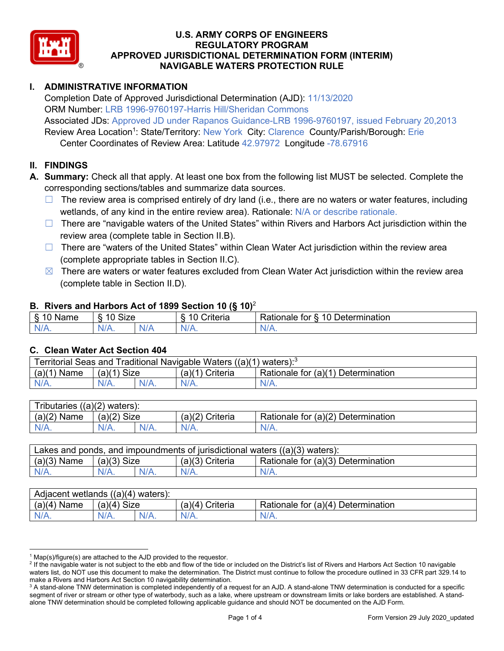

# **I. ADMINISTRATIVE INFORMATION**

Completion Date of Approved Jurisdictional Determination (AJD): 11/13/2020 ORM Number: LRB 1996-9760197-Harris Hill/Sheridan Commons Associated JDs: Approved JD under Rapanos Guidance-LRB 1996-9760197, issued February 20,2013 Review Area Location<sup>1</sup>: State/Territory: New York City: Clarence County/Parish/Borough: Erie Center Coordinates of Review Area: Latitude 42.97972 Longitude -78.67916

#### **II. FINDINGS**

- **A. Summary:** Check all that apply. At least one box from the following list MUST be selected. Complete the corresponding sections/tables and summarize data sources.
	- $\Box$  The review area is comprised entirely of dry land (i.e., there are no waters or water features, including wetlands, of any kind in the entire review area). Rationale: N/A or describe rationale.
	- $\Box$  There are "navigable waters of the United States" within Rivers and Harbors Act jurisdiction within the review area (complete table in Section II.B).
	- $\Box$  There are "waters of the United States" within Clean Water Act jurisdiction within the review area (complete appropriate tables in Section II.C).
	- $\boxtimes$  There are waters or water features excluded from Clean Water Act jurisdiction within the review area (complete table in Section II.D).

#### **B. Rivers and Harbors Act of 1899 Section 10 (§ 10)**<sup>2</sup>

| $\cdot$                                   |                                                   |     |                                        |                                                                               |  |  |
|-------------------------------------------|---------------------------------------------------|-----|----------------------------------------|-------------------------------------------------------------------------------|--|--|
| δ.<br>$\sqrt{2}$<br>.<br>vanie<br>٠J<br>- | <b>Size</b><br>$\overline{A}$ $\overline{A}$<br>c |     | 10<br>$"$ ritorio<br><b>UIL</b><br>. . | $\overline{\phantom{a}}$<br>10<br>∪etermınatıon<br>------<br>tor<br>kationale |  |  |
| $N/A$ .                                   | 97 A .                                            | NIA | N/L<br>17 L                            | 11 I N.                                                                       |  |  |

#### **C. Clean Water Act Section 404**

| l Traditional Navigable Waters ((a)(1)<br>Territorial Seas and<br>waters): <sup>3</sup> |                |  |                    |                                         |  |  |
|-----------------------------------------------------------------------------------------|----------------|--|--------------------|-----------------------------------------|--|--|
| (a)(1)<br>Name                                                                          | Size<br>(a)(1) |  | (a)(1)<br>Criteria | Rationale for (a)(1) D<br>Determination |  |  |
|                                                                                         | $N/A$ .        |  | N/A.               | $N/A$ .                                 |  |  |

| <b>Tributaries</b><br>((a)(2))<br>waters): |                       |         |                    |                                    |  |  |
|--------------------------------------------|-----------------------|---------|--------------------|------------------------------------|--|--|
| (a)(2)<br>Name                             | <b>Size</b><br>(a)(2) |         | (a)(2)<br>Criteria | Rationale for (a)(2) Determination |  |  |
| $N/A$ .                                    | N/A.                  | $N/A$ . | $N/A$ .            | N/A.                               |  |  |

| Lakes and ponds, and impoundments of jurisdictional waters $((a)(3)$ waters): |               |         |                 |                                    |  |  |
|-------------------------------------------------------------------------------|---------------|---------|-----------------|------------------------------------|--|--|
| $(a)(3)$ Name                                                                 | $(a)(3)$ Size |         | (a)(3) Criteria | Rationale for (a)(3) Determination |  |  |
| $N/A$ .                                                                       |               | $N/A$ . | $N/A$ .         | $N/A$ .                            |  |  |

| Adjacent wetlands<br>$((a)(4)$ waters): |                      |         |                    |                                         |  |  |
|-----------------------------------------|----------------------|---------|--------------------|-----------------------------------------|--|--|
| (a)(4)<br>Name                          | (a)(4)<br>Size       |         | (a)(4`<br>Criteria | Rationale for $(a)(4)$<br>Determination |  |  |
| N/A.                                    | $\sqrt{1/2}$<br>VIA. | $N/A$ . | $N/A$ .            | $N/A$ .                                 |  |  |

 $1$  Map(s)/figure(s) are attached to the AJD provided to the requestor.

<sup>&</sup>lt;sup>2</sup> If the navigable water is not subject to the ebb and flow of the tide or included on the District's list of Rivers and Harbors Act Section 10 navigable waters list, do NOT use this document to make the determination. The District must continue to follow the procedure outlined in 33 CFR part 329.14 to make a Rivers and Harbors Act Section 10 navigability determination.

<sup>&</sup>lt;sup>3</sup> A stand-alone TNW determination is completed independently of a request for an AJD. A stand-alone TNW determination is conducted for a specific segment of river or stream or other type of waterbody, such as a lake, where upstream or downstream limits or lake borders are established. A standalone TNW determination should be completed following applicable guidance and should NOT be documented on the AJD Form.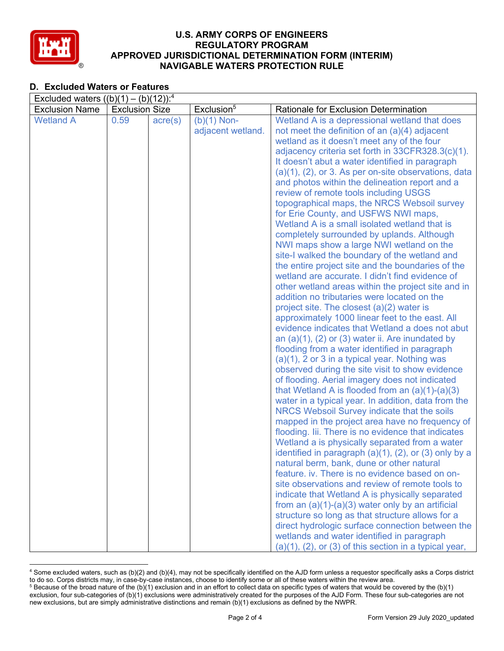

# **D. Excluded Waters or Features**

| Excluded waters $((b)(1) - (b)(12))$ : <sup>4</sup> |                       |                  |                        |                                                                                                      |  |  |
|-----------------------------------------------------|-----------------------|------------------|------------------------|------------------------------------------------------------------------------------------------------|--|--|
| <b>Exclusion Name</b>                               | <b>Exclusion Size</b> |                  | Exclusion <sup>5</sup> | <b>Rationale for Exclusion Determination</b>                                                         |  |  |
| <b>Wetland A</b>                                    | 0.59                  | $\text{acre}(s)$ | $(b)(1)$ Non-          | Wetland A is a depressional wetland that does                                                        |  |  |
|                                                     |                       |                  | adjacent wetland.      | not meet the definition of an $(a)(4)$ adjacent                                                      |  |  |
|                                                     |                       |                  |                        | wetland as it doesn't meet any of the four                                                           |  |  |
|                                                     |                       |                  |                        | adjacency criteria set forth in 33CFR328.3(c)(1).                                                    |  |  |
|                                                     |                       |                  |                        | It doesn't abut a water identified in paragraph                                                      |  |  |
|                                                     |                       |                  |                        | $(a)(1)$ , $(2)$ , or 3. As per on-site observations, data                                           |  |  |
|                                                     |                       |                  |                        | and photos within the delineation report and a                                                       |  |  |
|                                                     |                       |                  |                        | review of remote tools including USGS                                                                |  |  |
|                                                     |                       |                  |                        | topographical maps, the NRCS Websoil survey                                                          |  |  |
|                                                     |                       |                  |                        | for Erie County, and USFWS NWI maps,                                                                 |  |  |
|                                                     |                       |                  |                        | Wetland A is a small isolated wetland that is                                                        |  |  |
|                                                     |                       |                  |                        | completely surrounded by uplands. Although                                                           |  |  |
|                                                     |                       |                  |                        | NWI maps show a large NWI wetland on the                                                             |  |  |
|                                                     |                       |                  |                        | site-I walked the boundary of the wetland and                                                        |  |  |
|                                                     |                       |                  |                        | the entire project site and the boundaries of the<br>wetland are accurate. I didn't find evidence of |  |  |
|                                                     |                       |                  |                        |                                                                                                      |  |  |
|                                                     |                       |                  |                        | other wetland areas within the project site and in<br>addition no tributaries were located on the    |  |  |
|                                                     |                       |                  |                        | project site. The closest $(a)(2)$ water is                                                          |  |  |
|                                                     |                       |                  |                        | approximately 1000 linear feet to the east. All                                                      |  |  |
|                                                     |                       |                  |                        | evidence indicates that Wetland a does not abut                                                      |  |  |
|                                                     |                       |                  |                        | an $(a)(1)$ , $(2)$ or $(3)$ water ii. Are inundated by                                              |  |  |
|                                                     |                       |                  |                        | flooding from a water identified in paragraph                                                        |  |  |
|                                                     |                       |                  |                        | $(a)(1)$ , 2 or 3 in a typical year. Nothing was                                                     |  |  |
|                                                     |                       |                  |                        | observed during the site visit to show evidence                                                      |  |  |
|                                                     |                       |                  |                        | of flooding. Aerial imagery does not indicated                                                       |  |  |
|                                                     |                       |                  |                        | that Wetland A is flooded from an $(a)(1)-(a)(3)$                                                    |  |  |
|                                                     |                       |                  |                        | water in a typical year. In addition, data from the                                                  |  |  |
|                                                     |                       |                  |                        | NRCS Websoil Survey indicate that the soils                                                          |  |  |
|                                                     |                       |                  |                        | mapped in the project area have no frequency of                                                      |  |  |
|                                                     |                       |                  |                        | flooding. Iii. There is no evidence that indicates                                                   |  |  |
|                                                     |                       |                  |                        | Wetland a is physically separated from a water                                                       |  |  |
|                                                     |                       |                  |                        | identified in paragraph $(a)(1)$ , $(2)$ , or $(3)$ only by a                                        |  |  |
|                                                     |                       |                  |                        | natural berm, bank, dune or other natural                                                            |  |  |
|                                                     |                       |                  |                        | feature, iv. There is no evidence based on on-                                                       |  |  |
|                                                     |                       |                  |                        | site observations and review of remote tools to                                                      |  |  |
|                                                     |                       |                  |                        | indicate that Wetland A is physically separated                                                      |  |  |
|                                                     |                       |                  |                        | from an $(a)(1)-(a)(3)$ water only by an artificial                                                  |  |  |
|                                                     |                       |                  |                        | structure so long as that structure allows for a                                                     |  |  |
|                                                     |                       |                  |                        | direct hydrologic surface connection between the                                                     |  |  |
|                                                     |                       |                  |                        | wetlands and water identified in paragraph                                                           |  |  |
|                                                     |                       |                  |                        | $(a)(1)$ , $(2)$ , or $(3)$ of this section in a typical year,                                       |  |  |

<sup>4</sup> Some excluded waters, such as (b)(2) and (b)(4), may not be specifically identified on the AJD form unless a requestor specifically asks a Corps district to do so. Corps districts may, in case-by-case instances, choose to identify some or all of these waters within the review area.  $5$  Because of the broad nature of the (b)(1) exclusion and in an effort to collect data on specific types of waters that would be covered by the (b)(1)

exclusion, four sub-categories of (b)(1) exclusions were administratively created for the purposes of the AJD Form. These four sub-categories are not new exclusions, but are simply administrative distinctions and remain (b)(1) exclusions as defined by the NWPR.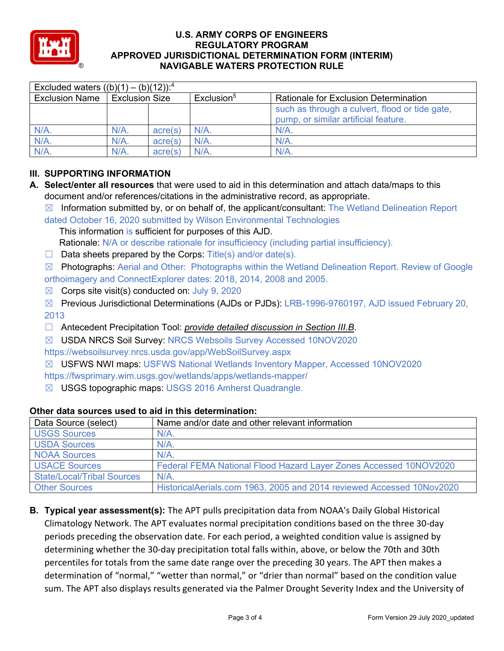

| Excluded waters $((b)(1) - (b)(12))$ : <sup>4</sup> |                       |         |                        |                                                                                        |  |
|-----------------------------------------------------|-----------------------|---------|------------------------|----------------------------------------------------------------------------------------|--|
| <b>Exclusion Name</b>                               | <b>Exclusion Size</b> |         | Exclusion <sup>5</sup> | <b>Rationale for Exclusion Determination</b>                                           |  |
|                                                     |                       |         |                        | such as through a culvert, flood or tide gate,<br>pump, or similar artificial feature. |  |
| $N/A$ .                                             | $N/A$ .               | acre(s) | $N/A$ .                | N/A                                                                                    |  |
| $N/A$ .                                             | $N/A$ .               | acre(s) | $N/A$ .                | $N/A$ .                                                                                |  |
| N/A.                                                | $N/A$ .               | acre(s) | $N/A$ .                | $N/A$ .                                                                                |  |

# **III. SUPPORTING INFORMATION**

- **A. Select/enter all resources** that were used to aid in this determination and attach data/maps to this document and/or references/citations in the administrative record, as appropriate.
	- $\boxtimes$  Information submitted by, or on behalf of, the applicant/consultant: The Wetland Delineation Report dated October 16, 2020 submitted by Wilson Environmental Technologies

This information is sufficient for purposes of this AJD.

- Rationale: N/A or describe rationale for insufficiency (including partial insufficiency).
- $\Box$  Data sheets prepared by the Corps: Title(s) and/or date(s).

☒ Photographs: Aerial and Other: Photographs within the Wetland Delineation Report. Review of Google orthoimagery and ConnectExplorer dates: 2018, 2014, 2008 and 2005.

- $\boxtimes$  Corps site visit(s) conducted on: July 9, 2020
- ☒ Previous Jurisdictional Determinations (AJDs or PJDs): LRB-1996-9760197, AJD issued February 20, 2013
- ☐ Antecedent Precipitation Tool: *provide detailed discussion in Section III.B*.
- ☒ USDA NRCS Soil Survey: NRCS Websoils Survey Accessed 10NOV2020
- https://websoilsurvey.nrcs.usda.gov/app/WebSoilSurvey.aspx

☒ USFWS NWI maps: USFWS National Wetlands Inventory Mapper, Accessed 10NOV2020 https://fwsprimary.wim.usgs.gov/wetlands/apps/wetlands-mapper/

☒ USGS topographic maps: USGS 2016 Amherst Quadrangle.

## **Other data sources used to aid in this determination:**

| Data Source (select)              | Name and/or date and other relevant information                       |
|-----------------------------------|-----------------------------------------------------------------------|
| <b>USGS Sources</b>               | $N/A$ .                                                               |
| <b>USDA Sources</b>               | $N/A$ .                                                               |
| <b>NOAA Sources</b>               | N/A                                                                   |
| <b>USACE Sources</b>              | Federal FEMA National Flood Hazard Layer Zones Accessed 10NOV2020     |
| <b>State/Local/Tribal Sources</b> | N/A                                                                   |
| <b>Other Sources</b>              | HistoricalAerials.com 1963, 2005 and 2014 reviewed Accessed 10Nov2020 |

**B. Typical year assessment(s):** The APT pulls precipitation data from NOAA's Daily Global Historical Climatology Network. The APT evaluates normal precipitation conditions based on the three 30-day periods preceding the observation date. For each period, a weighted condition value is assigned by determining whether the 30-day precipitation total falls within, above, or below the 70th and 30th percentiles for totals from the same date range over the preceding 30 years. The APT then makes a determination of "normal," "wetter than normal," or "drier than normal" based on the condition value sum. The APT also displays results generated via the Palmer Drought Severity Index and the University of